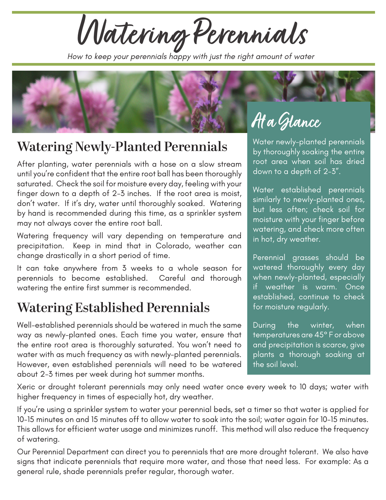**Watering Perennials**

*How to keep your perennials happy with just the right amount of water*



## **Watering Newly-Planted Perennials**

After planting, water perennials with a hose on a slow stream until you're confident that the entire root ball has been thoroughly saturated. Check the soil for moisture every day, feeling with your finger down to a depth of 2-3 inches. If the root area is moist, don't water. If it's dry, water until thoroughly soaked. Watering by hand is recommended during this time, as a sprinkler system may not always cover the entire root ball.

Watering frequency will vary depending on temperature and precipitation. Keep in mind that in Colorado, weather can change drastically in a short period of time.

It can take anywhere from 3 weeks to a whole season for perennials to become established. Careful and thorough watering the entire first summer is recommended.

## **Watering Established Perennials**

Well-established perennials should be watered in much the same way as newly-planted ones. Each time you water, ensure that the entire root area is thoroughly saturated. You won't need to water with as much frequency as with newly-planted perennials. However, even established perennials will need to be watered about 2-3 times per week during hot summer months.

Water newly-planted perennials by thoroughly soaking the entire root area when soil has dried down to a depth of 2-3".

Water established perennials similarly to newly-planted ones, but less often; check soil for moisture with your finger before watering, and check more often in hot, dry weather.

Perennial grasses should be watered thoroughly every day when newly-planted, especially if weather is warm. Once established, continue to check for moisture regularly.

During the winter, when temperatures are 45° F or above and precipitation is scarce, give plants a thorough soaking at the soil level.

Xeric or drought tolerant perennials may only need water once every week to 10 days; water with higher frequency in times of especially hot, dry weather.

If you're using a sprinkler system to water your perennial beds, set a timer so that water is applied for 10-15 minutes on and 15 minutes off to allow water to soak into the soil; water again for 10-15 minutes. This allows for efficient water usage and minimizes runoff. This method will also reduce the frequency of watering.

Our Perennial Department can direct you to perennials that are more drought tolerant. We also have signs that indicate perennials that require more water, and those that need less. For example: As a general rule, shade perennials prefer regular, thorough water.